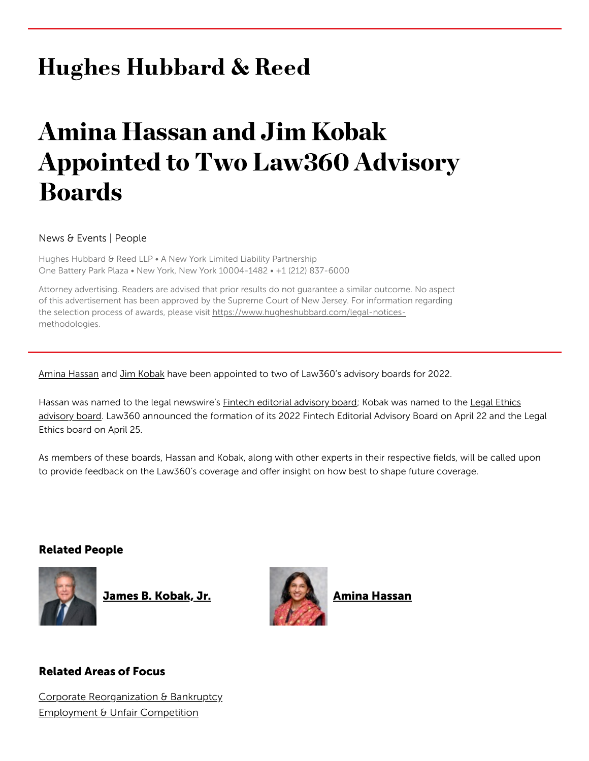## **Hughes Hubbard & Reed**

# Amina Hassan and Jim Kobak Appointed to Two Law360 Advisory Boards

#### News & Events | People

Hughes Hubbard & Reed LLP . A New York Limited Liability Partnership One Battery Park Plaza • New York, New York 10004-1482 • +1 (212) 837-6000

Attorney advertising. Readers are advised that prior results do not guarantee a similar outcome. No aspect of this advertisement has been approved by the Supreme Court of New Jersey. For information regarding the selection process of awards, please visit [https://www.hugheshubbard.com/legal-notices](https://www.hugheshubbard.com/legal-notices-methodologies)methodologies.

Amina [Hassan](https://www.hugheshubbard.com/attorneys/amina-hassan) and Jim [Kobak](https://www.hugheshubbard.com/attorneys/james-kobak) have been appointed to two of Law360's advisory boards for 2022.

Hassan was named to the legal newswire's **Fintech editorial [advisory](https://www.law360.com/articles/1483853/law360-s-2022-fintech-editorial-advisory-board) board**; Kobak was named to the Legal Ethics advisory board. [Law360 announced](https://www.law360.com/articles/1486310/law360-s-2022-legal-ethics-editorial-advisory-board) the formation of its 2022 Fintech Editorial Advisory Board on April 22 and the Legal Ethics board on April 25.

As members of these boards, Hassan and Kobak, along with other experts in their respective fields, will be called upon to provide feedback on the Law360's coverage and offer insight on how best to shape future coverage.

#### Related People



James B. [Kobak,](https://www.hugheshubbard.com/attorneys/james-kobak) Jr. **Amina [Hassan](https://www.hugheshubbard.com/attorneys/amina-hassan)** 



### Related Areas of Focus

Corporate [Reorganization](https://www.hugheshubbard.com/practices/corporate-reorganization-and-bankruptcy) & Bankruptcy [Employment](https://www.hugheshubbard.com/practices/employment-and-unfair-competition) & Unfair Competition